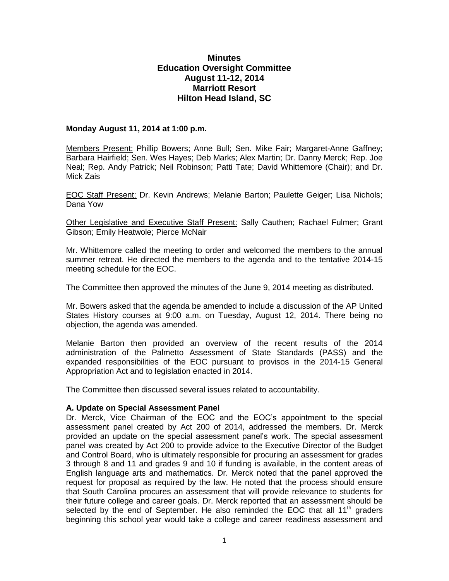# **Minutes Education Oversight Committee August 11-12, 2014 Marriott Resort Hilton Head Island, SC**

### **Monday August 11, 2014 at 1:00 p.m.**

Members Present: Phillip Bowers; Anne Bull; Sen. Mike Fair; Margaret-Anne Gaffney; Barbara Hairfield; Sen. Wes Hayes; Deb Marks; Alex Martin; Dr. Danny Merck; Rep. Joe Neal; Rep. Andy Patrick; Neil Robinson; Patti Tate; David Whittemore (Chair); and Dr. Mick Zais

EOC Staff Present: Dr. Kevin Andrews; Melanie Barton; Paulette Geiger; Lisa Nichols; Dana Yow

Other Legislative and Executive Staff Present: Sally Cauthen; Rachael Fulmer; Grant Gibson; Emily Heatwole; Pierce McNair

Mr. Whittemore called the meeting to order and welcomed the members to the annual summer retreat. He directed the members to the agenda and to the tentative 2014-15 meeting schedule for the EOC.

The Committee then approved the minutes of the June 9, 2014 meeting as distributed.

Mr. Bowers asked that the agenda be amended to include a discussion of the AP United States History courses at 9:00 a.m. on Tuesday, August 12, 2014. There being no objection, the agenda was amended.

Melanie Barton then provided an overview of the recent results of the 2014 administration of the Palmetto Assessment of State Standards (PASS) and the expanded responsibilities of the EOC pursuant to provisos in the 2014-15 General Appropriation Act and to legislation enacted in 2014.

The Committee then discussed several issues related to accountability.

#### **A. Update on Special Assessment Panel**

Dr. Merck, Vice Chairman of the EOC and the EOC's appointment to the special assessment panel created by Act 200 of 2014, addressed the members. Dr. Merck provided an update on the special assessment panel's work. The special assessment panel was created by Act 200 to provide advice to the Executive Director of the Budget and Control Board, who is ultimately responsible for procuring an assessment for grades 3 through 8 and 11 and grades 9 and 10 if funding is available, in the content areas of English language arts and mathematics. Dr. Merck noted that the panel approved the request for proposal as required by the law. He noted that the process should ensure that South Carolina procures an assessment that will provide relevance to students for their future college and career goals. Dr. Merck reported that an assessment should be selected by the end of September. He also reminded the EOC that all  $11<sup>th</sup>$  graders beginning this school year would take a college and career readiness assessment and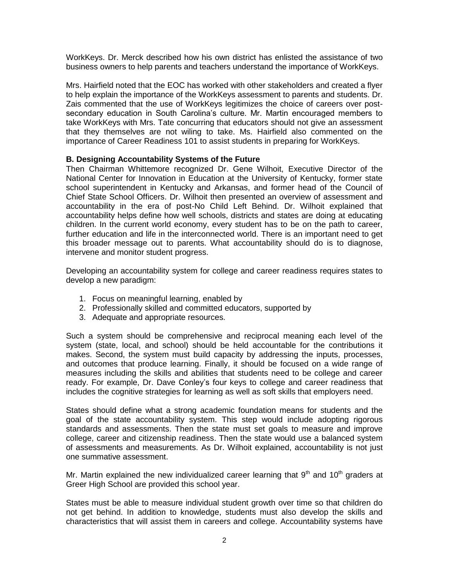WorkKeys. Dr. Merck described how his own district has enlisted the assistance of two business owners to help parents and teachers understand the importance of WorkKeys.

Mrs. Hairfield noted that the EOC has worked with other stakeholders and created a flyer to help explain the importance of the WorkKeys assessment to parents and students. Dr. Zais commented that the use of WorkKeys legitimizes the choice of careers over postsecondary education in South Carolina's culture. Mr. Martin encouraged members to take WorkKeys with Mrs. Tate concurring that educators should not give an assessment that they themselves are not wiling to take. Ms. Hairfield also commented on the importance of Career Readiness 101 to assist students in preparing for WorkKeys.

### **B. Designing Accountability Systems of the Future**

Then Chairman Whittemore recognized Dr. Gene Wilhoit, Executive Director of the National Center for Innovation in Education at the University of Kentucky, former state school superintendent in Kentucky and Arkansas, and former head of the Council of Chief State School Officers. Dr. Wilhoit then presented an overview of assessment and accountability in the era of post-No Child Left Behind. Dr. Wilhoit explained that accountability helps define how well schools, districts and states are doing at educating children. In the current world economy, every student has to be on the path to career, further education and life in the interconnected world. There is an important need to get this broader message out to parents. What accountability should do is to diagnose, intervene and monitor student progress.

Developing an accountability system for college and career readiness requires states to develop a new paradigm:

- 1. Focus on meaningful learning, enabled by
- 2. Professionally skilled and committed educators, supported by
- 3. Adequate and appropriate resources.

Such a system should be comprehensive and reciprocal meaning each level of the system (state, local, and school) should be held accountable for the contributions it makes. Second, the system must build capacity by addressing the inputs, processes, and outcomes that produce learning. Finally, it should be focused on a wide range of measures including the skills and abilities that students need to be college and career ready. For example, Dr. Dave Conley's four keys to college and career readiness that includes the cognitive strategies for learning as well as soft skills that employers need.

States should define what a strong academic foundation means for students and the goal of the state accountability system. This step would include adopting rigorous standards and assessments. Then the state must set goals to measure and improve college, career and citizenship readiness. Then the state would use a balanced system of assessments and measurements. As Dr. Wilhoit explained, accountability is not just one summative assessment.

Mr. Martin explained the new individualized career learning that  $9<sup>th</sup>$  and  $10<sup>th</sup>$  graders at Greer High School are provided this school year.

States must be able to measure individual student growth over time so that children do not get behind. In addition to knowledge, students must also develop the skills and characteristics that will assist them in careers and college. Accountability systems have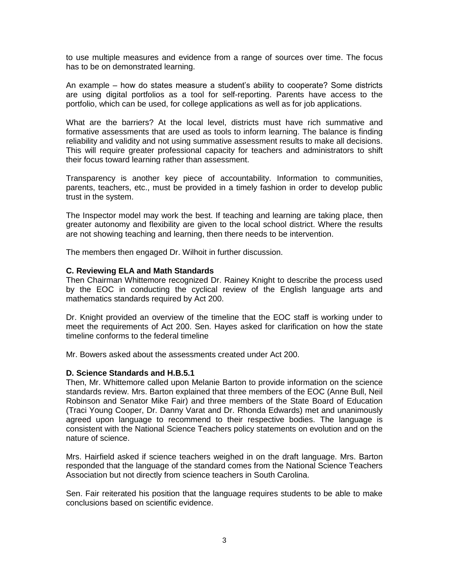to use multiple measures and evidence from a range of sources over time. The focus has to be on demonstrated learning.

An example – how do states measure a student's ability to cooperate? Some districts are using digital portfolios as a tool for self-reporting. Parents have access to the portfolio, which can be used, for college applications as well as for job applications.

What are the barriers? At the local level, districts must have rich summative and formative assessments that are used as tools to inform learning. The balance is finding reliability and validity and not using summative assessment results to make all decisions. This will require greater professional capacity for teachers and administrators to shift their focus toward learning rather than assessment.

Transparency is another key piece of accountability. Information to communities, parents, teachers, etc., must be provided in a timely fashion in order to develop public trust in the system.

The Inspector model may work the best. If teaching and learning are taking place, then greater autonomy and flexibility are given to the local school district. Where the results are not showing teaching and learning, then there needs to be intervention.

The members then engaged Dr. Wilhoit in further discussion.

### **C. Reviewing ELA and Math Standards**

Then Chairman Whittemore recognized Dr. Rainey Knight to describe the process used by the EOC in conducting the cyclical review of the English language arts and mathematics standards required by Act 200.

Dr. Knight provided an overview of the timeline that the EOC staff is working under to meet the requirements of Act 200. Sen. Hayes asked for clarification on how the state timeline conforms to the federal timeline

Mr. Bowers asked about the assessments created under Act 200.

### **D. Science Standards and H.B.5.1**

Then, Mr. Whittemore called upon Melanie Barton to provide information on the science standards review. Mrs. Barton explained that three members of the EOC (Anne Bull, Neil Robinson and Senator Mike Fair) and three members of the State Board of Education (Traci Young Cooper, Dr. Danny Varat and Dr. Rhonda Edwards) met and unanimously agreed upon language to recommend to their respective bodies. The language is consistent with the National Science Teachers policy statements on evolution and on the nature of science.

Mrs. Hairfield asked if science teachers weighed in on the draft language. Mrs. Barton responded that the language of the standard comes from the National Science Teachers Association but not directly from science teachers in South Carolina.

Sen. Fair reiterated his position that the language requires students to be able to make conclusions based on scientific evidence.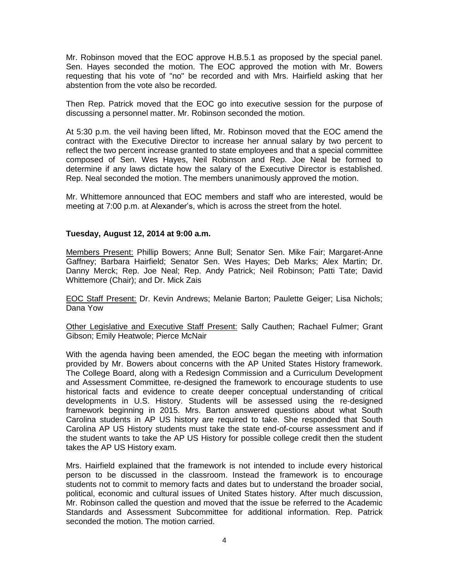Mr. Robinson moved that the EOC approve H.B.5.1 as proposed by the special panel. Sen. Hayes seconded the motion. The EOC approved the motion with Mr. Bowers requesting that his vote of "no" be recorded and with Mrs. Hairfield asking that her abstention from the vote also be recorded.

Then Rep. Patrick moved that the EOC go into executive session for the purpose of discussing a personnel matter. Mr. Robinson seconded the motion.

At 5:30 p.m. the veil having been lifted, Mr. Robinson moved that the EOC amend the contract with the Executive Director to increase her annual salary by two percent to reflect the two percent increase granted to state employees and that a special committee composed of Sen. Wes Hayes, Neil Robinson and Rep. Joe Neal be formed to determine if any laws dictate how the salary of the Executive Director is established. Rep. Neal seconded the motion. The members unanimously approved the motion.

Mr. Whittemore announced that EOC members and staff who are interested, would be meeting at 7:00 p.m. at Alexander's, which is across the street from the hotel.

### **Tuesday, August 12, 2014 at 9:00 a.m.**

Members Present: Phillip Bowers; Anne Bull; Senator Sen. Mike Fair; Margaret-Anne Gaffney; Barbara Hairfield; Senator Sen. Wes Hayes; Deb Marks; Alex Martin; Dr. Danny Merck; Rep. Joe Neal; Rep. Andy Patrick; Neil Robinson; Patti Tate; David Whittemore (Chair); and Dr. Mick Zais

EOC Staff Present: Dr. Kevin Andrews; Melanie Barton; Paulette Geiger; Lisa Nichols; Dana Yow

Other Legislative and Executive Staff Present: Sally Cauthen; Rachael Fulmer; Grant Gibson; Emily Heatwole; Pierce McNair

With the agenda having been amended, the EOC began the meeting with information provided by Mr. Bowers about concerns with the AP United States History framework. The College Board, along with a Redesign Commission and a Curriculum Development and Assessment Committee, re-designed the framework to encourage students to use historical facts and evidence to create deeper conceptual understanding of critical developments in U.S. History. Students will be assessed using the re-designed framework beginning in 2015. Mrs. Barton answered questions about what South Carolina students in AP US history are required to take. She responded that South Carolina AP US History students must take the state end-of-course assessment and if the student wants to take the AP US History for possible college credit then the student takes the AP US History exam.

Mrs. Hairfield explained that the framework is not intended to include every historical person to be discussed in the classroom. Instead the framework is to encourage students not to commit to memory facts and dates but to understand the broader social, political, economic and cultural issues of United States history. After much discussion, Mr. Robinson called the question and moved that the issue be referred to the Academic Standards and Assessment Subcommittee for additional information. Rep. Patrick seconded the motion. The motion carried.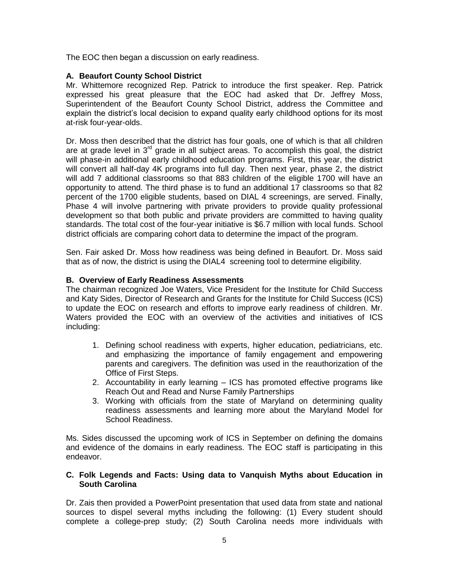The EOC then began a discussion on early readiness.

## **A. Beaufort County School District**

Mr. Whittemore recognized Rep. Patrick to introduce the first speaker. Rep. Patrick expressed his great pleasure that the EOC had asked that Dr. Jeffrey Moss, Superintendent of the Beaufort County School District, address the Committee and explain the district's local decision to expand quality early childhood options for its most at-risk four-year-olds.

Dr. Moss then described that the district has four goals, one of which is that all children are at grade level in  $3<sup>rd</sup>$  grade in all subject areas. To accomplish this goal, the district will phase-in additional early childhood education programs. First, this year, the district will convert all half-day 4K programs into full day. Then next year, phase 2, the district will add 7 additional classrooms so that 883 children of the eligible 1700 will have an opportunity to attend. The third phase is to fund an additional 17 classrooms so that 82 percent of the 1700 eligible students, based on DIAL 4 screenings, are served. Finally, Phase 4 will involve partnering with private providers to provide quality professional development so that both public and private providers are committed to having quality standards. The total cost of the four-year initiative is \$6.7 million with local funds. School district officials are comparing cohort data to determine the impact of the program.

Sen. Fair asked Dr. Moss how readiness was being defined in Beaufort. Dr. Moss said that as of now, the district is using the DIAL4 screening tool to determine eligibility.

### **B. Overview of Early Readiness Assessments**

The chairman recognized Joe Waters, Vice President for the Institute for Child Success and Katy Sides, Director of Research and Grants for the Institute for Child Success (ICS) to update the EOC on research and efforts to improve early readiness of children. Mr. Waters provided the EOC with an overview of the activities and initiatives of ICS including:

- 1. Defining school readiness with experts, higher education, pediatricians, etc. and emphasizing the importance of family engagement and empowering parents and caregivers. The definition was used in the reauthorization of the Office of First Steps.
- 2. Accountability in early learning ICS has promoted effective programs like Reach Out and Read and Nurse Family Partnerships
- 3. Working with officials from the state of Maryland on determining quality readiness assessments and learning more about the Maryland Model for School Readiness.

Ms. Sides discussed the upcoming work of ICS in September on defining the domains and evidence of the domains in early readiness. The EOC staff is participating in this endeavor.

### **C. Folk Legends and Facts: Using data to Vanquish Myths about Education in South Carolina**

Dr. Zais then provided a PowerPoint presentation that used data from state and national sources to dispel several myths including the following: (1) Every student should complete a college-prep study; (2) South Carolina needs more individuals with